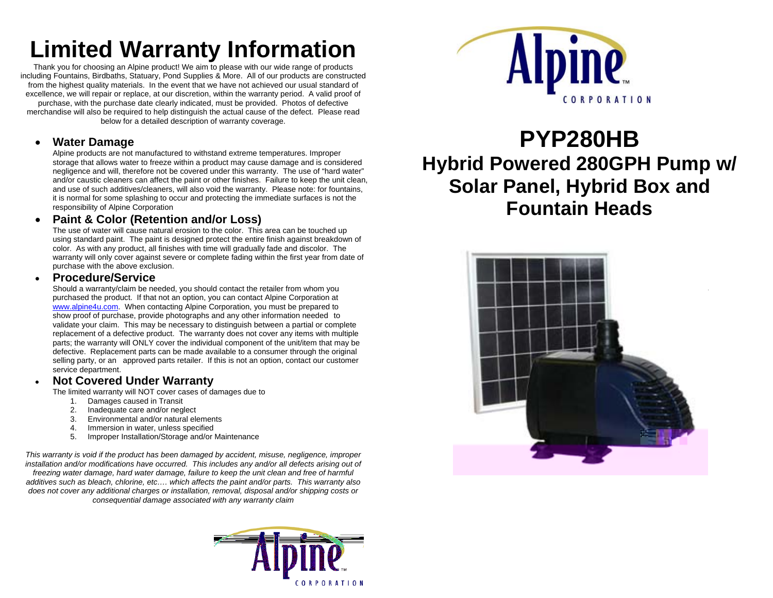# **Limited Warranty Information**

Thank you for choosing an Alpine product! We aim to please with our wide range of products including Fountains, Birdbaths, Statuary, Pond Supplies & More. All of our products are constructed from the highest quality materials. In the event that we have not achieved our usual standard of excellence, we will repair or replace, at our discretion, within the warranty period. A valid proof of purchase, with the purchase date clearly indicated, must be provided. Photos of defective merchandise will also be required to help distinguish the actual cause of the defect. Please read below for a detailed description of warranty coverage.

#### •**Water Damage**

Alpine products are not manufactured to withstand extreme temperatures. Improper storage that allows water to freeze within a product may cause damage and is considered negligence and will, therefore not be covered under this warranty. The use of "hard water" and/or caustic cleaners can affect the paint or other finishes. Failure to keep the unit clean, and use of such additives/cleaners, will also void the warranty. Please note: for fountains, it is normal for some splashing to occur and protecting the immediate surfaces is not the responsibility of Alpine Corporation

#### •**Paint & Color (Retention and/or Loss)**

The use of water will cause natural erosion to the color. This area can be touched up using standard paint. The paint is designed protect the entire finish against breakdown of color. As with any product, all finishes with time will gradually fade and discolor. The warranty will only cover against severe or complete fading within the first year from date of purchase with the above exclusion.

#### •**Procedure/Service**

Should a warranty/claim be needed, you should contact the retailer from whom you purchased the product. If that not an option, you can contact Alpine Corporation at www.alpine4u.com. When contacting Alpine Corporation, you must be prepared to show proof of purchase, provide photographs and any other information needed to validate your claim. This may be necessary to distinguish between a partial or complete replacement of a defective product. The warranty does not cover any items with multiple parts; the warranty will ONLY cover the individual component of the unit/item that may be defective. Replacement parts can be made available to a consumer through the original selling party, or an approved parts retailer. If this is not an option, contact our customer service department.

#### •**Not Covered Under Warranty**

The limited warranty will NOT cover cases of damages due to

- 1. Damages caused in Transit<br>2. Inadequate care and/or neg
- 2. Inadequate care and/or neglect<br>3. Environmental and/or natural election
- 3. Environmental and/or natural elements
- 4. Immersion in water, unless specified
- 5. Improper Installation/Storage and/or Maintenance

*This warranty is void if the product has been damaged by accident, misuse, negligence, improper installation and/or modifications have occurred. This includes any and/or all defects arising out of freezing water damage, hard water damage, failure to keep the unit clean and free of harmful additives such as bleach, chlorine, etc…. which affects the paint and/or parts. This warranty also does not cover any additional charges or installation, removal, disposal and/or shipping costs or consequential damage associated with any warranty claim* 





## **PYP280HB Hybrid Powered 280GPH Pump w/ Solar Panel, Hybrid Box and Fountain Heads**